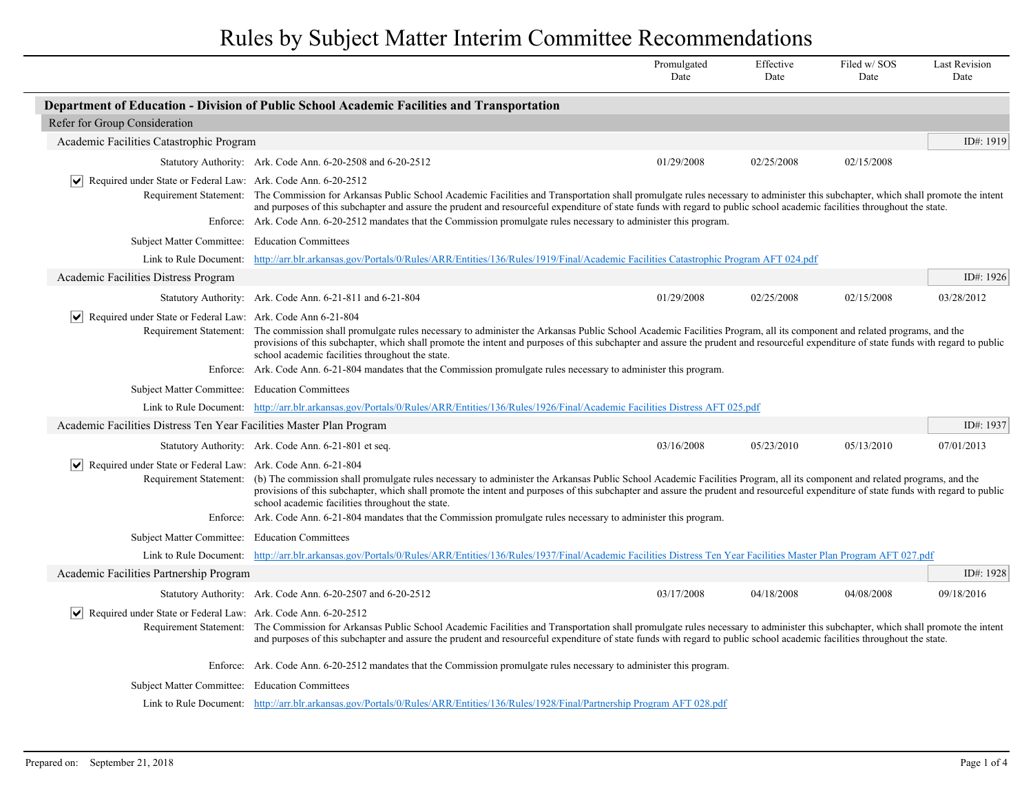|                                                                                                 |                                                                                                                                                                                                                                                                                                                                                                                                                                                                                                                                                                   | Promulgated<br>Date | Effective<br>Date | Filed w/SOS<br>Date | <b>Last Revision</b><br>Date |
|-------------------------------------------------------------------------------------------------|-------------------------------------------------------------------------------------------------------------------------------------------------------------------------------------------------------------------------------------------------------------------------------------------------------------------------------------------------------------------------------------------------------------------------------------------------------------------------------------------------------------------------------------------------------------------|---------------------|-------------------|---------------------|------------------------------|
|                                                                                                 | Department of Education - Division of Public School Academic Facilities and Transportation                                                                                                                                                                                                                                                                                                                                                                                                                                                                        |                     |                   |                     |                              |
| Refer for Group Consideration                                                                   |                                                                                                                                                                                                                                                                                                                                                                                                                                                                                                                                                                   |                     |                   |                     |                              |
| Academic Facilities Catastrophic Program                                                        |                                                                                                                                                                                                                                                                                                                                                                                                                                                                                                                                                                   |                     |                   |                     | ID#: 1919                    |
|                                                                                                 | Statutory Authority: Ark. Code Ann. 6-20-2508 and 6-20-2512                                                                                                                                                                                                                                                                                                                                                                                                                                                                                                       | 01/29/2008          | 02/25/2008        | 02/15/2008          |                              |
| Required under State or Federal Law: Ark. Code Ann. 6-20-2512                                   | Requirement Statement: The Commission for Arkansas Public School Academic Facilities and Transportation shall promulgate rules necessary to administer this subchapter, which shall promote the intent                                                                                                                                                                                                                                                                                                                                                            |                     |                   |                     |                              |
|                                                                                                 | and purposes of this subchapter and assure the prudent and resourceful expenditure of state funds with regard to public school academic facilities throughout the state.                                                                                                                                                                                                                                                                                                                                                                                          |                     |                   |                     |                              |
|                                                                                                 | Enforce: Ark. Code Ann. 6-20-2512 mandates that the Commission promulgate rules necessary to administer this program.                                                                                                                                                                                                                                                                                                                                                                                                                                             |                     |                   |                     |                              |
| Subject Matter Committee: Education Committees                                                  |                                                                                                                                                                                                                                                                                                                                                                                                                                                                                                                                                                   |                     |                   |                     |                              |
| Link to Rule Document:                                                                          | http://arr.blr.arkansas.gov/Portals/0/Rules/ARR/Entities/136/Rules/1919/Final/Academic Facilities Catastrophic Program AFT 024.pdf                                                                                                                                                                                                                                                                                                                                                                                                                                |                     |                   |                     |                              |
| Academic Facilities Distress Program                                                            |                                                                                                                                                                                                                                                                                                                                                                                                                                                                                                                                                                   |                     |                   |                     | ID#: 1926                    |
|                                                                                                 | Statutory Authority: Ark. Code Ann. 6-21-811 and 6-21-804                                                                                                                                                                                                                                                                                                                                                                                                                                                                                                         | 01/29/2008          | 02/25/2008        | 02/15/2008          | 03/28/2012                   |
| $ \mathbf{v} $ Required under State or Federal Law: Ark. Code Ann 6-21-804                      | Requirement Statement: The commission shall promulgate rules necessary to administer the Arkansas Public School Academic Facilities Program, all its component and related programs, and the<br>provisions of this subchapter, which shall promote the intent and purposes of this subchapter and assure the prudent and resourceful expenditure of state funds with regard to public<br>school academic facilities throughout the state.<br>Enforce: Ark. Code Ann. 6-21-804 mandates that the Commission promulgate rules necessary to administer this program. |                     |                   |                     |                              |
| Subject Matter Committee: Education Committees                                                  |                                                                                                                                                                                                                                                                                                                                                                                                                                                                                                                                                                   |                     |                   |                     |                              |
|                                                                                                 | Link to Rule Document: http://arr.blr.arkansas.gov/Portals/0/Rules/ARR/Entities/136/Rules/1926/Final/Academic Facilities Distress AFT 025.pdf                                                                                                                                                                                                                                                                                                                                                                                                                     |                     |                   |                     |                              |
| Academic Facilities Distress Ten Year Facilities Master Plan Program                            |                                                                                                                                                                                                                                                                                                                                                                                                                                                                                                                                                                   |                     |                   |                     | ID#: 1937                    |
|                                                                                                 | Statutory Authority: Ark. Code Ann. 6-21-801 et seq.                                                                                                                                                                                                                                                                                                                                                                                                                                                                                                              | 03/16/2008          | 05/23/2010        | 05/13/2010          | 07/01/2013                   |
| $ \bm{\mathsf{v}} $<br>Required under State or Federal Law: Ark. Code Ann. 6-21-804<br>Enforce: | Requirement Statement: (b) The commission shall promulgate rules necessary to administer the Arkansas Public School Academic Facilities Program, all its component and related programs, and the<br>provisions of this subchapter, which shall promote the intent and purposes of this subchapter and assure the prudent and resourceful expenditure of state funds with regard to public<br>school academic facilities throughout the state.<br>Ark. Code Ann. 6-21-804 mandates that the Commission promulgate rules necessary to administer this program.      |                     |                   |                     |                              |
| Subject Matter Committee: Education Committees                                                  |                                                                                                                                                                                                                                                                                                                                                                                                                                                                                                                                                                   |                     |                   |                     |                              |
|                                                                                                 | Link to Rule Document: http://arr.blr.arkansas.gov/Portals/0/Rules/ARR/Entities/136/Rules/1937/Final/Academic Facilities Distress Ten Year Facilities Master Plan Program AFT 027.pdf                                                                                                                                                                                                                                                                                                                                                                             |                     |                   |                     |                              |
| Academic Facilities Partnership Program                                                         |                                                                                                                                                                                                                                                                                                                                                                                                                                                                                                                                                                   |                     |                   |                     | ID#: 1928                    |
|                                                                                                 | Statutory Authority: Ark. Code Ann. 6-20-2507 and 6-20-2512                                                                                                                                                                                                                                                                                                                                                                                                                                                                                                       | 03/17/2008          | 04/18/2008        | 04/08/2008          | 09/18/2016                   |
| $ \mathbf{v} $ Required under State or Federal Law: Ark. Code Ann. 6-20-2512                    | Requirement Statement: The Commission for Arkansas Public School Academic Facilities and Transportation shall promulgate rules necessary to administer this subchapter, which shall promote the intent<br>and purposes of this subchapter and assure the prudent and resourceful expenditure of state funds with regard to public school academic facilities throughout the state.                                                                                                                                                                                |                     |                   |                     |                              |
|                                                                                                 | Enforce: Ark. Code Ann. 6-20-2512 mandates that the Commission promulgate rules necessary to administer this program.                                                                                                                                                                                                                                                                                                                                                                                                                                             |                     |                   |                     |                              |
| Subject Matter Committee: Education Committees                                                  |                                                                                                                                                                                                                                                                                                                                                                                                                                                                                                                                                                   |                     |                   |                     |                              |
|                                                                                                 | Link to Rule Document: http://arr.blr.arkansas.gov/Portals/0/Rules/ARR/Entities/136/Rules/1928/Final/Partnership Program AFT 028.pdf                                                                                                                                                                                                                                                                                                                                                                                                                              |                     |                   |                     |                              |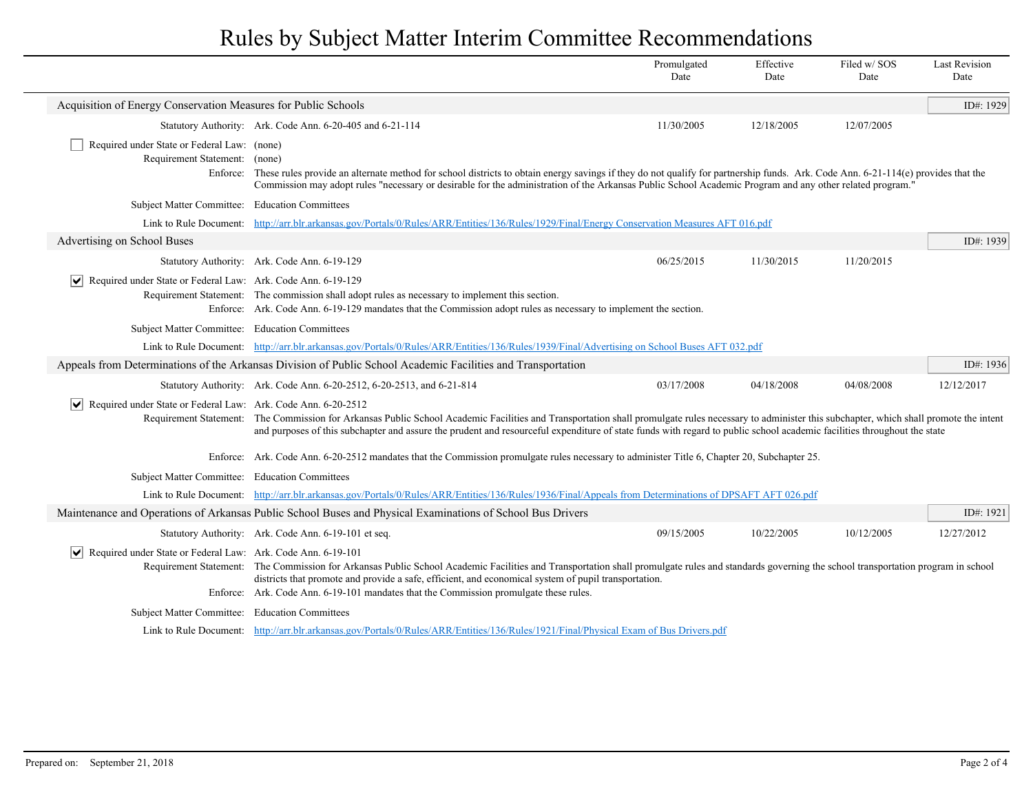|                                                                                 |                                                                                                                                                                                                                                                                                                                                                                                                     | Promulgated<br>Date | Effective<br>Date | Filed w/SOS<br>Date | <b>Last Revision</b><br>Date |
|---------------------------------------------------------------------------------|-----------------------------------------------------------------------------------------------------------------------------------------------------------------------------------------------------------------------------------------------------------------------------------------------------------------------------------------------------------------------------------------------------|---------------------|-------------------|---------------------|------------------------------|
| Acquisition of Energy Conservation Measures for Public Schools                  |                                                                                                                                                                                                                                                                                                                                                                                                     |                     |                   |                     | ID#: 1929                    |
|                                                                                 | Statutory Authority: Ark. Code Ann. 6-20-405 and 6-21-114                                                                                                                                                                                                                                                                                                                                           | 11/30/2005          | 12/18/2005        | 12/07/2005          |                              |
| Required under State or Federal Law: (none)<br>Requirement Statement:           | (none)<br>Enforce: These rules provide an alternate method for school districts to obtain energy savings if they do not qualify for partnership funds. Ark. Code Ann. 6-21-114(e) provides that the<br>Commission may adopt rules "necessary or desirable for the administration of the Arkansas Public School Academic Program and any other related program."                                     |                     |                   |                     |                              |
| Subject Matter Committee: Education Committees                                  |                                                                                                                                                                                                                                                                                                                                                                                                     |                     |                   |                     |                              |
|                                                                                 | Link to Rule Document: http://arr.blr.arkansas.gov/Portals/0/Rules/ARR/Entities/136/Rules/1929/Final/Energy Conservation Measures AFT 016.pdf                                                                                                                                                                                                                                                       |                     |                   |                     |                              |
| Advertising on School Buses                                                     |                                                                                                                                                                                                                                                                                                                                                                                                     |                     |                   |                     | ID#: 1939                    |
|                                                                                 | Statutory Authority: Ark. Code Ann. 6-19-129                                                                                                                                                                                                                                                                                                                                                        | 06/25/2015          | 11/30/2015        | 11/20/2015          |                              |
| Required under State or Federal Law: Ark. Code Ann. 6-19-129<br>$ \mathsf{v} $  | Requirement Statement: The commission shall adopt rules as necessary to implement this section.<br>Enforce: Ark. Code Ann. 6-19-129 mandates that the Commission adopt rules as necessary to implement the section.                                                                                                                                                                                 |                     |                   |                     |                              |
| Subject Matter Committee: Education Committees                                  |                                                                                                                                                                                                                                                                                                                                                                                                     |                     |                   |                     |                              |
|                                                                                 | Link to Rule Document: http://arr.blr.arkansas.gov/Portals/0/Rules/ARR/Entities/136/Rules/1939/Final/Advertising on School Buses AFT 032.pdf                                                                                                                                                                                                                                                        |                     |                   |                     |                              |
|                                                                                 | Appeals from Determinations of the Arkansas Division of Public School Academic Facilities and Transportation                                                                                                                                                                                                                                                                                        |                     |                   |                     | ID#: 1936                    |
|                                                                                 | Statutory Authority: Ark. Code Ann. 6-20-2512, 6-20-2513, and 6-21-814                                                                                                                                                                                                                                                                                                                              | 03/17/2008          | 04/18/2008        | 04/08/2008          | 12/12/2017                   |
| Required under State or Federal Law: Ark. Code Ann. 6-20-2512<br>$ \mathsf{v} $ | Requirement Statement: The Commission for Arkansas Public School Academic Facilities and Transportation shall promulgate rules necessary to administer this subchapter, which shall promote the intent<br>and purposes of this subchapter and assure the prudent and resourceful expenditure of state funds with regard to public school academic facilities throughout the state                   |                     |                   |                     |                              |
|                                                                                 | Enforce: Ark. Code Ann. 6-20-2512 mandates that the Commission promulgate rules necessary to administer Title 6, Chapter 20, Subchapter 25.                                                                                                                                                                                                                                                         |                     |                   |                     |                              |
| Subject Matter Committee: Education Committees                                  |                                                                                                                                                                                                                                                                                                                                                                                                     |                     |                   |                     |                              |
|                                                                                 | Link to Rule Document: http://arr.blr.arkansas.gov/Portals/0/Rules/ARR/Entities/136/Rules/1936/Final/Appeals from Determinations of DPSAFT AFT 026.pdf                                                                                                                                                                                                                                              |                     |                   |                     |                              |
|                                                                                 | Maintenance and Operations of Arkansas Public School Buses and Physical Examinations of School Bus Drivers                                                                                                                                                                                                                                                                                          |                     |                   |                     | ID#: $1921$                  |
|                                                                                 | Statutory Authority: Ark. Code Ann. 6-19-101 et seq.                                                                                                                                                                                                                                                                                                                                                | 09/15/2005          | 10/22/2005        | 10/12/2005          | 12/27/2012                   |
| $ \mathbf{v} $<br>Required under State or Federal Law: Ark. Code Ann. 6-19-101  | Requirement Statement: The Commission for Arkansas Public School Academic Facilities and Transportation shall promulgate rules and standards governing the school transportation program in school<br>districts that promote and provide a safe, efficient, and economical system of pupil transportation.<br>Enforce: Ark. Code Ann. 6-19-101 mandates that the Commission promulgate these rules. |                     |                   |                     |                              |
| Subject Matter Committee: Education Committees                                  |                                                                                                                                                                                                                                                                                                                                                                                                     |                     |                   |                     |                              |
|                                                                                 | Link to Rule Document: http://arr.blr.arkansas.gov/Portals/0/Rules/ARR/Entities/136/Rules/1921/Final/Physical Exam of Bus Drivers.pdf                                                                                                                                                                                                                                                               |                     |                   |                     |                              |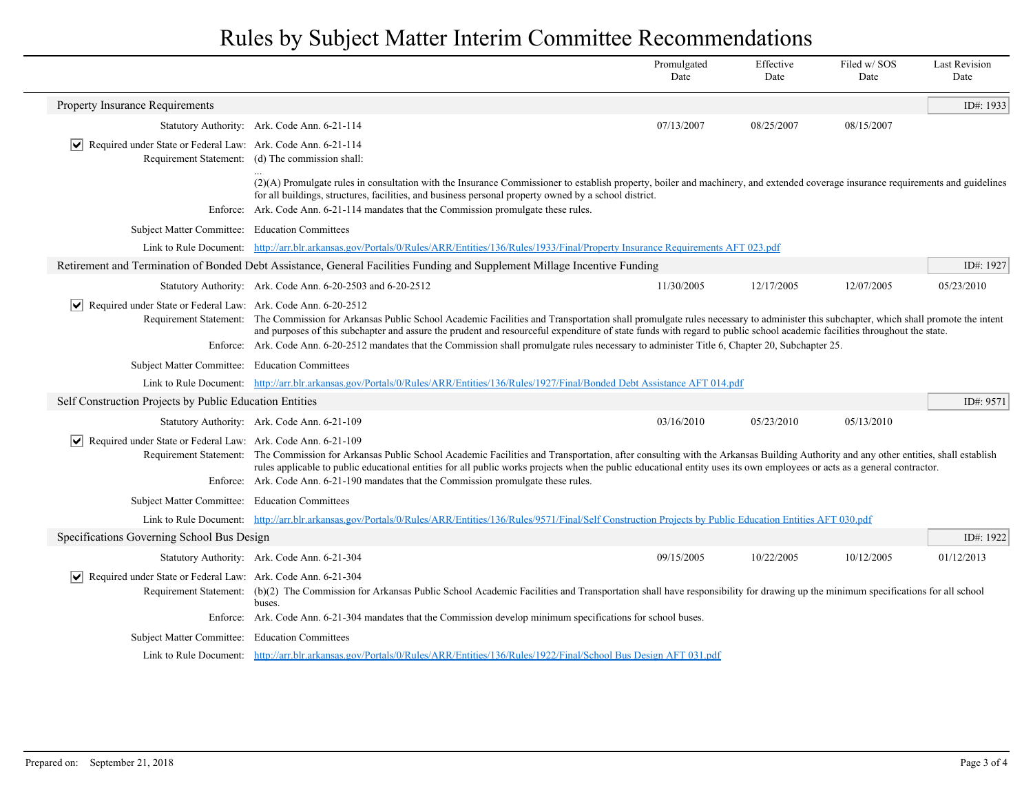|                                                                                             |                                                                                                                                                                                                                                                                                                                                                                                                                                                                             | Promulgated<br>Date | Effective<br>Date | Filed w/SOS<br>Date | <b>Last Revision</b><br>Date |
|---------------------------------------------------------------------------------------------|-----------------------------------------------------------------------------------------------------------------------------------------------------------------------------------------------------------------------------------------------------------------------------------------------------------------------------------------------------------------------------------------------------------------------------------------------------------------------------|---------------------|-------------------|---------------------|------------------------------|
| Property Insurance Requirements                                                             |                                                                                                                                                                                                                                                                                                                                                                                                                                                                             |                     |                   |                     | ID#: 1933                    |
|                                                                                             | Statutory Authority: Ark. Code Ann. 6-21-114                                                                                                                                                                                                                                                                                                                                                                                                                                | 07/13/2007          | 08/25/2007        | 08/15/2007          |                              |
| Required under State or Federal Law: Ark. Code Ann. 6-21-114<br>$\vert\bm{\mathsf{v}}\vert$ | Requirement Statement: (d) The commission shall:                                                                                                                                                                                                                                                                                                                                                                                                                            |                     |                   |                     |                              |
|                                                                                             | (2)(A) Promulgate rules in consultation with the Insurance Commissioner to establish property, boiler and machinery, and extended coverage insurance requirements and guidelines<br>for all buildings, structures, facilities, and business personal property owned by a school district.                                                                                                                                                                                   |                     |                   |                     |                              |
| Enforce:                                                                                    | Ark. Code Ann. 6-21-114 mandates that the Commission promulgate these rules.                                                                                                                                                                                                                                                                                                                                                                                                |                     |                   |                     |                              |
| Subject Matter Committee: Education Committees                                              |                                                                                                                                                                                                                                                                                                                                                                                                                                                                             |                     |                   |                     |                              |
|                                                                                             | Link to Rule Document: http://arr.blr.arkansas.gov/Portals/0/Rules/ARR/Entities/136/Rules/1933/Final/Property Insurance Requirements AFT 023.pdf                                                                                                                                                                                                                                                                                                                            |                     |                   |                     |                              |
|                                                                                             | Retirement and Termination of Bonded Debt Assistance, General Facilities Funding and Supplement Millage Incentive Funding                                                                                                                                                                                                                                                                                                                                                   |                     |                   |                     | ID#: 1927                    |
|                                                                                             | Statutory Authority: Ark. Code Ann. 6-20-2503 and 6-20-2512                                                                                                                                                                                                                                                                                                                                                                                                                 | 11/30/2005          | 12/17/2005        | 12/07/2005          | 05/23/2010                   |
| Required under State or Federal Law: Ark. Code Ann. 6-20-2512                               | Requirement Statement: The Commission for Arkansas Public School Academic Facilities and Transportation shall promulgate rules necessary to administer this subchapter, which shall promote the intent<br>and purposes of this subchapter and assure the prudent and resourceful expenditure of state funds with regard to public school academic facilities throughout the state.                                                                                          |                     |                   |                     |                              |
|                                                                                             | Enforce: Ark. Code Ann. 6-20-2512 mandates that the Commission shall promulgate rules necessary to administer Title 6, Chapter 20, Subchapter 25.                                                                                                                                                                                                                                                                                                                           |                     |                   |                     |                              |
| Subject Matter Committee: Education Committees                                              |                                                                                                                                                                                                                                                                                                                                                                                                                                                                             |                     |                   |                     |                              |
|                                                                                             | Link to Rule Document: http://arr.blr.arkansas.gov/Portals/0/Rules/ARR/Entities/136/Rules/1927/Final/Bonded Debt Assistance AFT 014.pdf                                                                                                                                                                                                                                                                                                                                     |                     |                   |                     |                              |
| Self Construction Projects by Public Education Entities                                     |                                                                                                                                                                                                                                                                                                                                                                                                                                                                             |                     |                   |                     | ID#: 9571                    |
|                                                                                             | Statutory Authority: Ark. Code Ann. 6-21-109                                                                                                                                                                                                                                                                                                                                                                                                                                | 03/16/2010          | 05/23/2010        | 05/13/2010          |                              |
| $ \mathbf{v} $ Required under State or Federal Law: Ark. Code Ann. 6-21-109                 | Requirement Statement: The Commission for Arkansas Public School Academic Facilities and Transportation, after consulting with the Arkansas Building Authority and any other entities, shall establish<br>rules applicable to public educational entities for all public works projects when the public educational entity uses its own employees or acts as a general contractor.<br>Enforce: Ark. Code Ann. 6-21-190 mandates that the Commission promulgate these rules. |                     |                   |                     |                              |
|                                                                                             |                                                                                                                                                                                                                                                                                                                                                                                                                                                                             |                     |                   |                     |                              |
| Subject Matter Committee: Education Committees                                              |                                                                                                                                                                                                                                                                                                                                                                                                                                                                             |                     |                   |                     |                              |
|                                                                                             | Link to Rule Document: http://arr.blr.arkansas.gov/Portals/0/Rules/ARR/Entities/136/Rules/9571/Final/Self Construction Projects by Public Education Entities AFT 030.pdf                                                                                                                                                                                                                                                                                                    |                     |                   |                     |                              |
| Specifications Governing School Bus Design                                                  |                                                                                                                                                                                                                                                                                                                                                                                                                                                                             |                     |                   |                     | ID#: 1922                    |
|                                                                                             | Statutory Authority: Ark. Code Ann. 6-21-304                                                                                                                                                                                                                                                                                                                                                                                                                                | 09/15/2005          | 10/22/2005        | 10/12/2005          | 01/12/2013                   |
| Required under State or Federal Law: Ark. Code Ann. 6-21-304<br>$\vert\bm{\mathsf{v}}\vert$ | Requirement Statement: (b)(2) The Commission for Arkansas Public School Academic Facilities and Transportation shall have responsibility for drawing up the minimum specifications for all school<br>buses.                                                                                                                                                                                                                                                                 |                     |                   |                     |                              |
|                                                                                             | Enforce: Ark. Code Ann. 6-21-304 mandates that the Commission develop minimum specifications for school buses.                                                                                                                                                                                                                                                                                                                                                              |                     |                   |                     |                              |
| Subject Matter Committee: Education Committees                                              |                                                                                                                                                                                                                                                                                                                                                                                                                                                                             |                     |                   |                     |                              |
|                                                                                             | Link to Rule Document: http://arr.blr.arkansas.gov/Portals/0/Rules/ARR/Entities/136/Rules/1922/Final/School Bus Design AFT 031.pdf                                                                                                                                                                                                                                                                                                                                          |                     |                   |                     |                              |